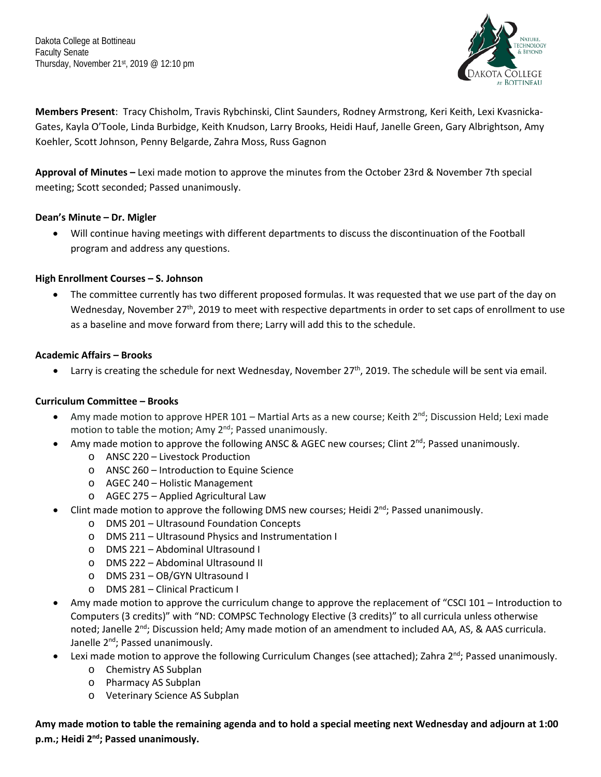Dakota College at Bottineau Faculty Senate Thursday, November 21st, 2019 @ 12:10 pm



**Members Present**: Tracy Chisholm, Travis Rybchinski, Clint Saunders, Rodney Armstrong, Keri Keith, Lexi Kvasnicka-Gates, Kayla O'Toole, Linda Burbidge, Keith Knudson, Larry Brooks, Heidi Hauf, Janelle Green, Gary Albrightson, Amy Koehler, Scott Johnson, Penny Belgarde, Zahra Moss, Russ Gagnon

**Approval of Minutes –** Lexi made motion to approve the minutes from the October 23rd & November 7th special meeting; Scott seconded; Passed unanimously.

### **Dean's Minute – Dr. Migler**

• Will continue having meetings with different departments to discuss the discontinuation of the Football program and address any questions.

# **High Enrollment Courses – S. Johnson**

• The committee currently has two different proposed formulas. It was requested that we use part of the day on Wednesday, November 27<sup>th</sup>, 2019 to meet with respective departments in order to set caps of enrollment to use as a baseline and move forward from there; Larry will add this to the schedule.

#### **Academic Affairs – Brooks**

• Larry is creating the schedule for next Wednesday, November 27<sup>th</sup>, 2019. The schedule will be sent via email.

# **Curriculum Committee – Brooks**

- Amy made motion to approve HPER 101 Martial Arts as a new course; Keith  $2^{nd}$ ; Discussion Held; Lexi made motion to table the motion; Amy 2<sup>nd</sup>; Passed unanimously.
- Amy made motion to approve the following ANSC & AGEC new courses; Clint  $2^{nd}$ ; Passed unanimously.
	- o ANSC 220 Livestock Production
	- o ANSC 260 Introduction to Equine Science
	- o AGEC 240 Holistic Management
	- o AGEC 275 Applied Agricultural Law
- Clint made motion to approve the following DMS new courses; Heidi  $2<sup>nd</sup>$ ; Passed unanimously.
	- o DMS 201 Ultrasound Foundation Concepts
	- o DMS 211 Ultrasound Physics and Instrumentation I
	- o DMS 221 Abdominal Ultrasound I
	- o DMS 222 Abdominal Ultrasound II
	- o DMS 231 OB/GYN Ultrasound I
	- o DMS 281 Clinical Practicum I
- Amy made motion to approve the curriculum change to approve the replacement of "CSCI 101 Introduction to Computers (3 credits)" with "ND: COMPSC Technology Elective (3 credits)" to all curricula unless otherwise noted; Janelle 2<sup>nd</sup>; Discussion held; Amy made motion of an amendment to included AA, AS, & AAS curricula. Janelle 2<sup>nd</sup>; Passed unanimously.
- Lexi made motion to approve the following Curriculum Changes (see attached); Zahra 2<sup>nd</sup>; Passed unanimously.
	- o Chemistry AS Subplan
	- o Pharmacy AS Subplan
	- o Veterinary Science AS Subplan

**Amy made motion to table the remaining agenda and to hold a special meeting next Wednesday and adjourn at 1:00 p.m.; Heidi 2nd; Passed unanimously.**